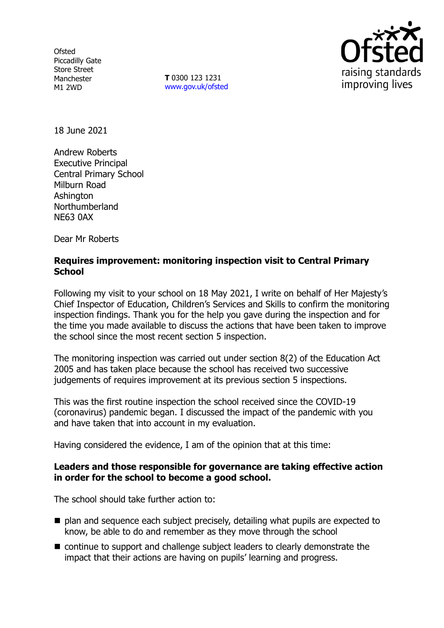**Ofsted** Piccadilly Gate Store Street Manchester M1 2WD

**T** 0300 123 1231 [www.gov.uk/ofsted](http://www.gov.uk/ofsted)



18 June 2021

Andrew Roberts Executive Principal Central Primary School Milburn Road **Ashington** Northumberland NE63 0AX

Dear Mr Roberts

## **Requires improvement: monitoring inspection visit to Central Primary School**

Following my visit to your school on 18 May 2021, I write on behalf of Her Majesty's Chief Inspector of Education, Children's Services and Skills to confirm the monitoring inspection findings. Thank you for the help you gave during the inspection and for the time you made available to discuss the actions that have been taken to improve the school since the most recent section 5 inspection.

The monitoring inspection was carried out under section 8(2) of the Education Act 2005 and has taken place because the school has received two successive judgements of requires improvement at its previous section 5 inspections.

This was the first routine inspection the school received since the COVID-19 (coronavirus) pandemic began. I discussed the impact of the pandemic with you and have taken that into account in my evaluation.

Having considered the evidence, I am of the opinion that at this time:

### **Leaders and those responsible for governance are taking effective action in order for the school to become a good school.**

The school should take further action to:

- $\blacksquare$  plan and sequence each subject precisely, detailing what pupils are expected to know, be able to do and remember as they move through the school
- continue to support and challenge subject leaders to clearly demonstrate the impact that their actions are having on pupils' learning and progress.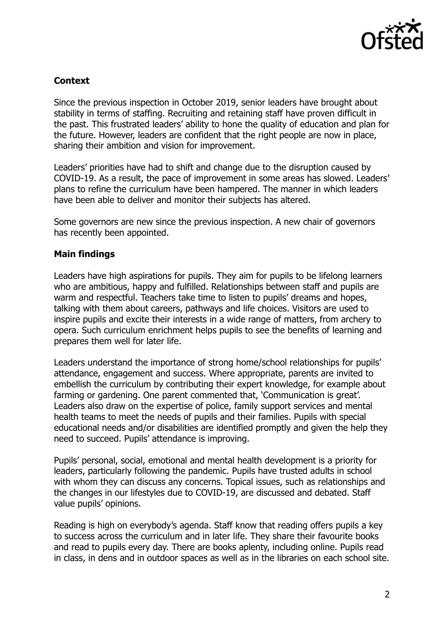

# **Context**

Since the previous inspection in October 2019, senior leaders have brought about stability in terms of staffing. Recruiting and retaining staff have proven difficult in the past. This frustrated leaders' ability to hone the quality of education and plan for the future. However, leaders are confident that the right people are now in place, sharing their ambition and vision for improvement.

Leaders' priorities have had to shift and change due to the disruption caused by COVID-19. As a result, the pace of improvement in some areas has slowed. Leaders' plans to refine the curriculum have been hampered. The manner in which leaders have been able to deliver and monitor their subjects has altered.

Some governors are new since the previous inspection. A new chair of governors has recently been appointed.

### **Main findings**

Leaders have high aspirations for pupils. They aim for pupils to be lifelong learners who are ambitious, happy and fulfilled. Relationships between staff and pupils are warm and respectful. Teachers take time to listen to pupils' dreams and hopes, talking with them about careers, pathways and life choices. Visitors are used to inspire pupils and excite their interests in a wide range of matters, from archery to opera. Such curriculum enrichment helps pupils to see the benefits of learning and prepares them well for later life.

Leaders understand the importance of strong home/school relationships for pupils' attendance, engagement and success. Where appropriate, parents are invited to embellish the curriculum by contributing their expert knowledge, for example about farming or gardening. One parent commented that, 'Communication is great'. Leaders also draw on the expertise of police, family support services and mental health teams to meet the needs of pupils and their families. Pupils with special educational needs and/or disabilities are identified promptly and given the help they need to succeed. Pupils' attendance is improving.

Pupils' personal, social, emotional and mental health development is a priority for leaders, particularly following the pandemic. Pupils have trusted adults in school with whom they can discuss any concerns. Topical issues, such as relationships and the changes in our lifestyles due to COVID-19, are discussed and debated. Staff value pupils' opinions.

Reading is high on everybody's agenda. Staff know that reading offers pupils a key to success across the curriculum and in later life. They share their favourite books and read to pupils every day. There are books aplenty, including online. Pupils read in class, in dens and in outdoor spaces as well as in the libraries on each school site.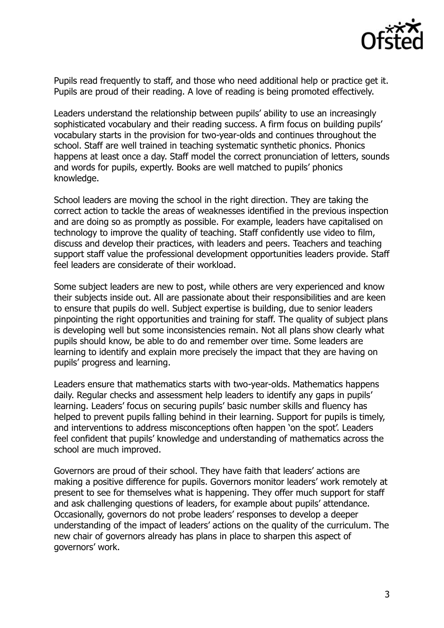

Pupils read frequently to staff, and those who need additional help or practice get it. Pupils are proud of their reading. A love of reading is being promoted effectively.

Leaders understand the relationship between pupils' ability to use an increasingly sophisticated vocabulary and their reading success. A firm focus on building pupils' vocabulary starts in the provision for two-year-olds and continues throughout the school. Staff are well trained in teaching systematic synthetic phonics. Phonics happens at least once a day. Staff model the correct pronunciation of letters, sounds and words for pupils, expertly. Books are well matched to pupils' phonics knowledge.

School leaders are moving the school in the right direction. They are taking the correct action to tackle the areas of weaknesses identified in the previous inspection and are doing so as promptly as possible. For example, leaders have capitalised on technology to improve the quality of teaching. Staff confidently use video to film, discuss and develop their practices, with leaders and peers. Teachers and teaching support staff value the professional development opportunities leaders provide. Staff feel leaders are considerate of their workload.

Some subject leaders are new to post, while others are very experienced and know their subjects inside out. All are passionate about their responsibilities and are keen to ensure that pupils do well. Subject expertise is building, due to senior leaders pinpointing the right opportunities and training for staff. The quality of subject plans is developing well but some inconsistencies remain. Not all plans show clearly what pupils should know, be able to do and remember over time. Some leaders are learning to identify and explain more precisely the impact that they are having on pupils' progress and learning.

Leaders ensure that mathematics starts with two-year-olds. Mathematics happens daily. Regular checks and assessment help leaders to identify any gaps in pupils' learning. Leaders' focus on securing pupils' basic number skills and fluency has helped to prevent pupils falling behind in their learning. Support for pupils is timely, and interventions to address misconceptions often happen 'on the spot'. Leaders feel confident that pupils' knowledge and understanding of mathematics across the school are much improved.

Governors are proud of their school. They have faith that leaders' actions are making a positive difference for pupils. Governors monitor leaders' work remotely at present to see for themselves what is happening. They offer much support for staff and ask challenging questions of leaders, for example about pupils' attendance. Occasionally, governors do not probe leaders' responses to develop a deeper understanding of the impact of leaders' actions on the quality of the curriculum. The new chair of governors already has plans in place to sharpen this aspect of governors' work.